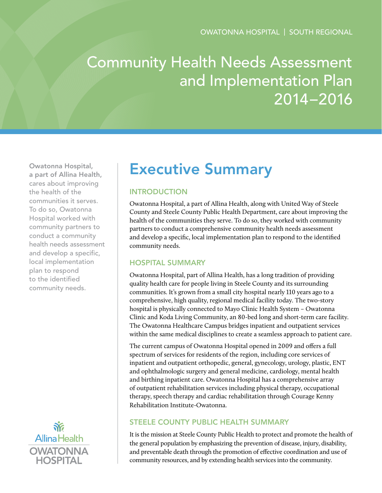# Community Health Needs Assessment and Implementation Plan 2014–2016

Owatonna Hospital, a part of Allina Health, cares about improving the health of the communities it serves. To do so, Owatonna Hospital worked with community partners to conduct a community health needs assessment and develop a specific, local implementation plan to respond to the identified community needs.



## Executive Summary

## **INTRODUCTION**

Owatonna Hospital, a part of Allina Health, along with United Way of Steele County and Steele County Public Health Department, care about improving the health of the communities they serve. To do so, they worked with community partners to conduct a comprehensive community health needs assessment and develop a specific, local implementation plan to respond to the identified community needs.

## Hospital Summary

Owatonna Hospital, part of Allina Health, has a long tradition of providing quality health care for people living in Steele County and its surrounding communities. It's grown from a small city hospital nearly 110 years ago to a comprehensive, high quality, regional medical facility today. The two-story hospital is physically connected to Mayo Clinic Health System – Owatonna Clinic and Koda Living Community, an 80-bed long and short-term care facility. The Owatonna Healthcare Campus bridges inpatient and outpatient services within the same medical disciplines to create a seamless approach to patient care.

The current campus of Owatonna Hospital opened in 2009 and offers a full spectrum of services for residents of the region, including core services of inpatient and outpatient orthopedic, general, gynecology, urology, plastic, ENT and ophthalmologic surgery and general medicine, cardiology, mental health and birthing inpatient care. Owatonna Hospital has a comprehensive array of outpatient rehabilitation services including physical therapy, occupational therapy, speech therapy and cardiac rehabilitation through Courage Kenny Rehabilitation Institute-Owatonna.

## Steele County Public Health Summary

It is the mission at Steele County Public Health to protect and promote the health of the general population by emphasizing the prevention of disease, injury, disability, and preventable death through the promotion of effective coordination and use of community resources, and by extending health services into the community.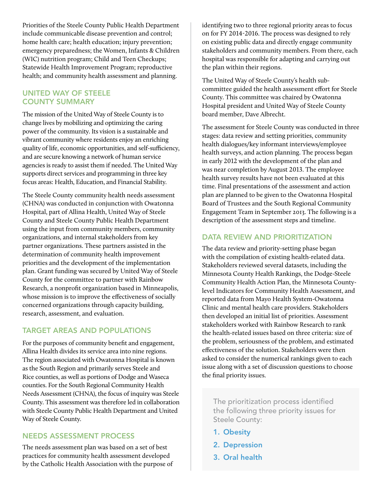Priorities of the Steele County Public Health Department include communicable disease prevention and control; home health care; health education; injury prevention; emergency preparedness; the Women, Infants & Children (WIC) nutrition program; Child and Teen Checkups; Statewide Health Improvement Program; reproductive health; and community health assessment and planning.

#### United Way of Steele County Summary

The mission of the United Way of Steele County is to change lives by mobilizing and optimizing the caring power of the community. Its vision is a sustainable and vibrant community where residents enjoy an enriching quality of life, economic opportunities, and self-sufficiency, and are secure knowing a network of human service agencies is ready to assist them if needed. The United Way supports direct services and programming in three key focus areas: Health, Education, and Financial Stability.

The Steele County community health needs assessment (CHNA) was conducted in conjunction with Owatonna Hospital, part of Allina Health, United Way of Steele County and Steele County Public Health Department using the input from community members, community organizations, and internal stakeholders from key partner organizations. These partners assisted in the determination of community health improvement priorities and the development of the implementation plan. Grant funding was secured by United Way of Steele County for the committee to partner with Rainbow Research, a nonprofit organization based in Minneapolis, whose mission is to improve the effectiveness of socially concerned organizations through capacity building, research, assessment, and evaluation.

## Target Areas and Populations

For the purposes of community benefit and engagement, Allina Health divides its service area into nine regions. The region associated with Owatonna Hospital is known as the South Region and primarily serves Steele and Rice counties, as well as portions of Dodge and Waseca counties. For the South Regional Community Health Needs Assessment (CHNA), the focus of inquiry was Steele County. This assessment was therefore led in collaboration with Steele County Public Health Department and United Way of Steele County.

#### Needs Assessment Process

The needs assessment plan was based on a set of best practices for community health assessment developed by the Catholic Health Association with the purpose of identifying two to three regional priority areas to focus on for FY 2014-2016. The process was designed to rely on existing public data and directly engage community stakeholders and community members. From there, each hospital was responsible for adapting and carrying out the plan within their regions.

The United Way of Steele County's health subcommittee guided the health assessment effort for Steele County. This committee was chaired by Owatonna Hospital president and United Way of Steele County board member, Dave Albrecht.

The assessment for Steele County was conducted in three stages: data review and setting priorities, community health dialogues/key informant interviews/employee health surveys, and action planning. The process began in early 2012 with the development of the plan and was near completion by August 2013. The employee health survey results have not been evaluated at this time. Final presentations of the assessment and action plan are planned to be given to the Owatonna Hospital Board of Trustees and the South Regional Community Engagement Team in September 2013. The following is a description of the assessment steps and timeline.

### DATA REVIEW AND PRIORITIZATION

The data review and priority-setting phase began with the compilation of existing health-related data. Stakeholders reviewed several datasets, including the Minnesota County Health Rankings, the Dodge-Steele Community Health Action Plan, the Minnesota Countylevel Indicators for Community Health Assessment, and reported data from Mayo Health System-Owatonna Clinic and mental health care providers. Stakeholders then developed an initial list of priorities. Assessment stakeholders worked with Rainbow Research to rank the health-related issues based on three criteria: size of the problem, seriousness of the problem, and estimated effectiveness of the solution. Stakeholders were then asked to consider the numerical rankings given to each issue along with a set of discussion questions to choose the final priority issues.

The prioritization process identified the following three priority issues for Steele County:

- 1. Obesity
- 2. Depression
- 3. Oral health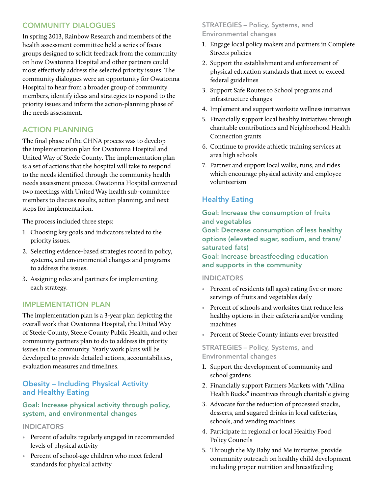## Community Dialogues

In spring 2013, Rainbow Research and members of the health assessment committee held a series of focus groups designed to solicit feedback from the community on how Owatonna Hospital and other partners could most effectively address the selected priority issues. The community dialogues were an opportunity for Owatonna Hospital to hear from a broader group of community members, identify ideas and strategies to respond to the priority issues and inform the action-planning phase of the needs assessment.

## Action Planning

The final phase of the CHNA process was to develop the implementation plan for Owatonna Hospital and United Way of Steele County. The implementation plan is a set of actions that the hospital will take to respond to the needs identified through the community health needs assessment process. Owatonna Hospital convened two meetings with United Way health sub-committee members to discuss results, action planning, and next steps for implementation.

The process included three steps:

- 1. Choosing key goals and indicators related to the priority issues.
- 2. Selecting evidence-based strategies rooted in policy, systems, and environmental changes and programs to address the issues.
- 3. Assigning roles and partners for implementing each strategy.

## Implementation Plan

The implementation plan is a 3-year plan depicting the overall work that Owatonna Hospital, the United Way of Steele County, Steele County Public Health, and other community partners plan to do to address its priority issues in the community. Yearly work plans will be developed to provide detailed actions, accountabilities, evaluation measures and timelines.

## Obesity – Including Physical Activity and Healthy Eating

#### Goal: Increase physical activity through policy, system, and environmental changes

#### **INDICATORS**

- Percent of adults regularly engaged in recommended levels of physical activity
- Percent of school-age children who meet federal standards for physical activity

#### STRATEGIES – Policy, Systems, and Environmental changes

- 1. Engage local policy makers and partners in Complete Streets policies
- 2. Support the establishment and enforcement of physical education standards that meet or exceed federal guidelines
- 3. Support Safe Routes to School programs and infrastructure changes
- 4. Implement and support worksite wellness initiatives
- 5. Financially support local healthy initiatives through charitable contributions and Neighborhood Health Connection grants
- 6. Continue to provide athletic training services at area high schools
- 7. Partner and support local walks, runs, and rides which encourage physical activity and employee volunteerism

## Healthy Eating

Goal: Increase the consumption of fruits and vegetables Goal: Decrease consumption of less healthy options (elevated sugar, sodium, and trans/ saturated fats) Goal: Increase breastfeeding education and supports in the community

#### INDICATORS

- Percent of residents (all ages) eating five or more servings of fruits and vegetables daily
- Percent of schools and worksites that reduce less healthy options in their cafeteria and/or vending machines
- Percent of Steele County infants ever breastfed

#### STRATEGIES – Policy, Systems, and Environmental changes

- 1. Support the development of community and school gardens
- 2. Financially support Farmers Markets with "Allina Health Bucks" incentives through charitable giving
- 3. Advocate for the reduction of processed snacks, desserts, and sugared drinks in local cafeterias, schools, and vending machines
- 4. Participate in regional or local Healthy Food Policy Councils
- 5. Through the My Baby and Me initiative, provide community outreach on healthy child development including proper nutrition and breastfeeding